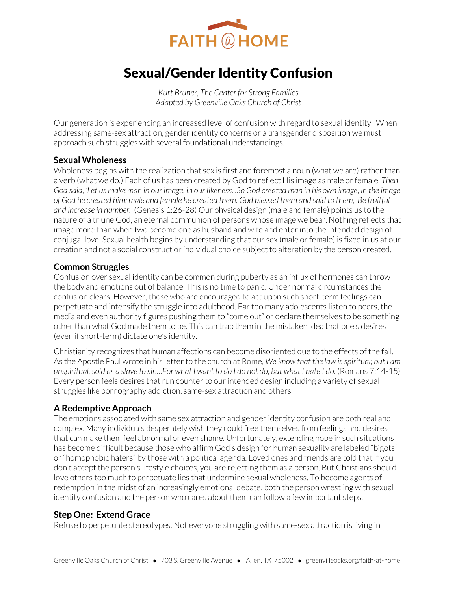

# Sexual/Gender Identity Confusion

*Kurt Bruner, The Center for Strong Families Adapted by Greenville Oaks Church of Christ* 

Our generation is experiencing an increased level of confusion with regard to sexual identity. When addressing same-sex attraction, gender identity concerns or a transgender disposition we must approach such struggles with several foundational understandings.

### **Sexual Wholeness**

Wholeness begins with the realization that sex is first and foremost a noun (what we are) rather than a verb (what we do.) Each of us has been created by God to reflect His image as male or female. *Then God said, 'Let us make man in our image, in our likeness...So God created man in his own image, in the image of God he created him; male and female he created them. God blessed them and said to them, 'Be fruitful and increase in number.'* (Genesis 1:26-28) Our physical design (male and female) points us to the nature of a triune God, an eternal communion of persons whose image we bear. Nothing reflects that image more than when two become one as husband and wife and enter into the intended design of conjugal love. Sexual health begins by understanding that our sex (male or female) is fixed in us at our creation and not a social construct or individual choice subject to alteration by the person created.

# **Common Struggles**

Confusion over sexual identity can be common during puberty as an influx of hormones can throw the body and emotions out of balance. This is no time to panic. Under normal circumstances the confusion clears. However, those who are encouraged to act upon such short-term feelings can perpetuate and intensify the struggle into adulthood. Far too many adolescents listen to peers, the media and even authority figures pushing them to "come out" or declare themselves to be something other than what God made them to be. This can trap them in the mistaken idea that one's desires (even if short-term) dictate one's identity.

Christianity recognizes that human affections can become disoriented due to the effects of the fall. As the Apostle Paul wrote in his letter to the church at Rome, *We know that the law is spiritual; but I am unspiritual, sold as a slave to sin…For what I want to do I do not do, but what I hate I do.* (Romans 7:14-15) Every person feels desires that run counter to our intended design including a variety of sexual struggles like pornography addiction, same-sex attraction and others.

# **A Redemptive Approach**

The emotions associated with same sex attraction and gender identity confusion are both real and complex. Many individuals desperately wish they could free themselves from feelings and desires that can make them feel abnormal or even shame. Unfortunately, extending hope in such situations has become difficult because those who affirm God's design for human sexuality are labeled "bigots" or "homophobic haters" by those with a political agenda. Loved ones and friends are told that if you don't accept the person's lifestyle choices, you are rejecting them as a person. But Christians should love others too much to perpetuate lies that undermine sexual wholeness. To become agents of redemption in the midst of an increasingly emotional debate, both the person wrestling with sexual identity confusion and the person who cares about them can follow a few important steps.

#### **Step One: Extend Grace**

Refuse to perpetuate stereotypes. Not everyone struggling with same-sex attraction is living in